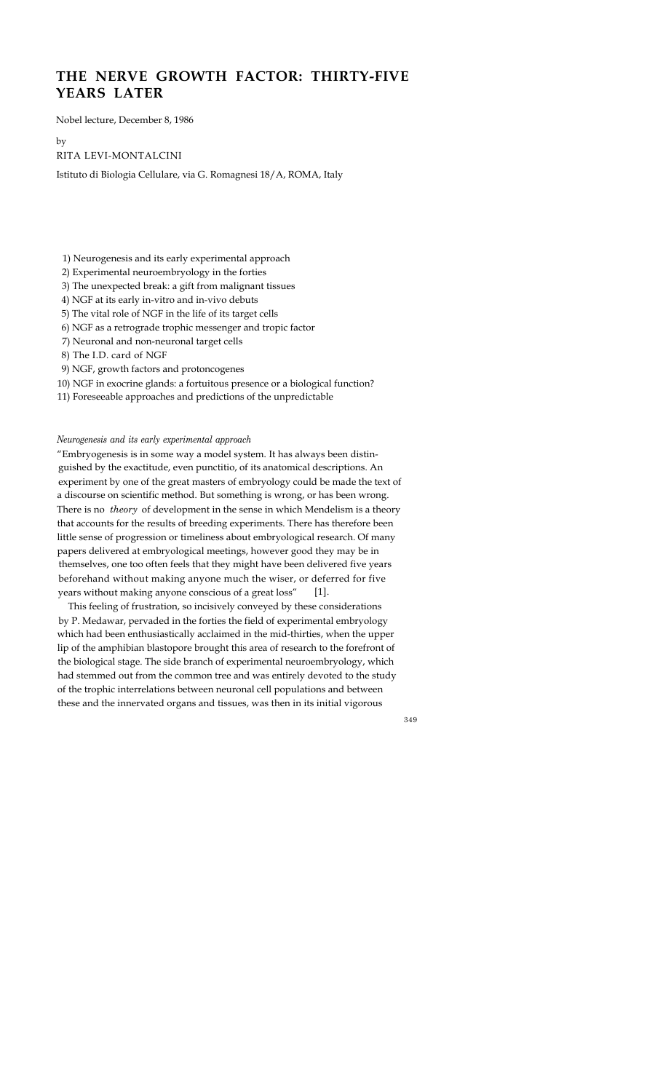# **THE NERVE GROWTH FACTOR: THIRTY-FIVE YEARS LATER**

Nobel lecture, December 8, 1986

## by

RITA LEVI-MONTALCINI

Istituto di Biologia Cellulare, via G. Romagnesi 18/A, ROMA, Italy

- 1) Neurogenesis and its early experimental approach
- 2) Experimental neuroembryology in the forties
- 3) The unexpected break: a gift from malignant tissues
- 4) NGF at its early in-vitro and in-vivo debuts
- 5) The vital role of NGF in the life of its target cells
- 6) NGF as a retrograde trophic messenger and tropic factor
- 7) Neuronal and non-neuronal target cells
- 8) The I.D. card of NGF
- 9) NGF, growth factors and protoncogenes
- 10) NGF in exocrine glands: a fortuitous presence or a biological function?
- 11) Foreseeable approaches and predictions of the unpredictable

## *Neurogenesis and its early experimental approach*

"Embryogenesis is in some way a model system. It has always been distinguished by the exactitude, even punctitio, of its anatomical descriptions. An experiment by one of the great masters of embryology could be made the text of a discourse on scientific method. But something is wrong, or has been wrong. There is no *theory* of development in the sense in which Mendelism is a theory that accounts for the results of breeding experiments. There has therefore been little sense of progression or timeliness about embryological research. Of many papers delivered at embryological meetings, however good they may be in themselves, one too often feels that they might have been delivered five years beforehand without making anyone much the wiser, or deferred for five years without making anyone conscious of a great loss" [1].

This feeling of frustration, so incisively conveyed by these considerations by P. Medawar, pervaded in the forties the field of experimental embryology which had been enthusiastically acclaimed in the mid-thirties, when the upper lip of the amphibian blastopore brought this area of research to the forefront of the biological stage. The side branch of experimental neuroembryology, which had stemmed out from the common tree and was entirely devoted to the study of the trophic interrelations between neuronal cell populations and between these and the innervated organs and tissues, was then in its initial vigorous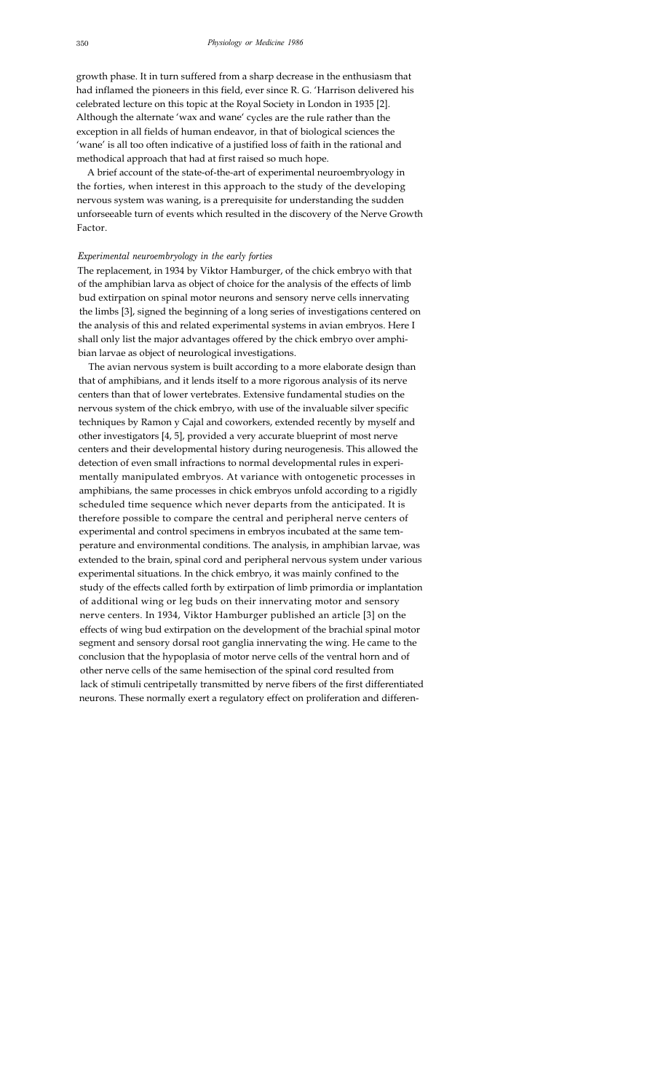growth phase. It in turn suffered from a sharp decrease in the enthusiasm that had inflamed the pioneers in this field, ever since R. G. 'Harrison delivered his celebrated lecture on this topic at the Royal Society in London in 1935 [2]. Although the alternate 'wax and wane' cycles are the rule rather than the exception in all fields of human endeavor, in that of biological sciences the 'wane' is all too often indicative of a justified loss of faith in the rational and methodical approach that had at first raised so much hope.

A brief account of the state-of-the-art of experimental neuroembryology in the forties, when interest in this approach to the study of the developing nervous system was waning, is a prerequisite for understanding the sudden unforseeable turn of events which resulted in the discovery of the Nerve Growth Factor.

#### *Experimental neuroembryology in the early forties*

The replacement, in 1934 by Viktor Hamburger, of the chick embryo with that of the amphibian larva as object of choice for the analysis of the effects of limb bud extirpation on spinal motor neurons and sensory nerve cells innervating the limbs [3], signed the beginning of a long series of investigations centered on the analysis of this and related experimental systems in avian embryos. Here I shall only list the major advantages offered by the chick embryo over amphibian larvae as object of neurological investigations.

The avian nervous system is built according to a more elaborate design than that of amphibians, and it lends itself to a more rigorous analysis of its nerve centers than that of lower vertebrates. Extensive fundamental studies on the nervous system of the chick embryo, with use of the invaluable silver specific techniques by Ramon y Cajal and coworkers, extended recently by myself and other investigators [4, 5], provided a very accurate blueprint of most nerve centers and their developmental history during neurogenesis. This allowed the detection of even small infractions to normal developmental rules in experimentally manipulated embryos. At variance with ontogenetic processes in amphibians, the same processes in chick embryos unfold according to a rigidly scheduled time sequence which never departs from the anticipated. It is therefore possible to compare the central and peripheral nerve centers of experimental and control specimens in embryos incubated at the same temperature and environmental conditions. The analysis, in amphibian larvae, was extended to the brain, spinal cord and peripheral nervous system under various experimental situations. In the chick embryo, it was mainly confined to the study of the effects called forth by extirpation of limb primordia or implantation of additional wing or leg buds on their innervating motor and sensory nerve centers. In 1934, Viktor Hamburger published an article [3] on the effects of wing bud extirpation on the development of the brachial spinal motor segment and sensory dorsal root ganglia innervating the wing. He came to the conclusion that the hypoplasia of motor nerve cells of the ventral horn and of other nerve cells of the same hemisection of the spinal cord resulted from lack of stimuli centripetally transmitted by nerve fibers of the first differentiated neurons. These normally exert a regulatory effect on proliferation and differen-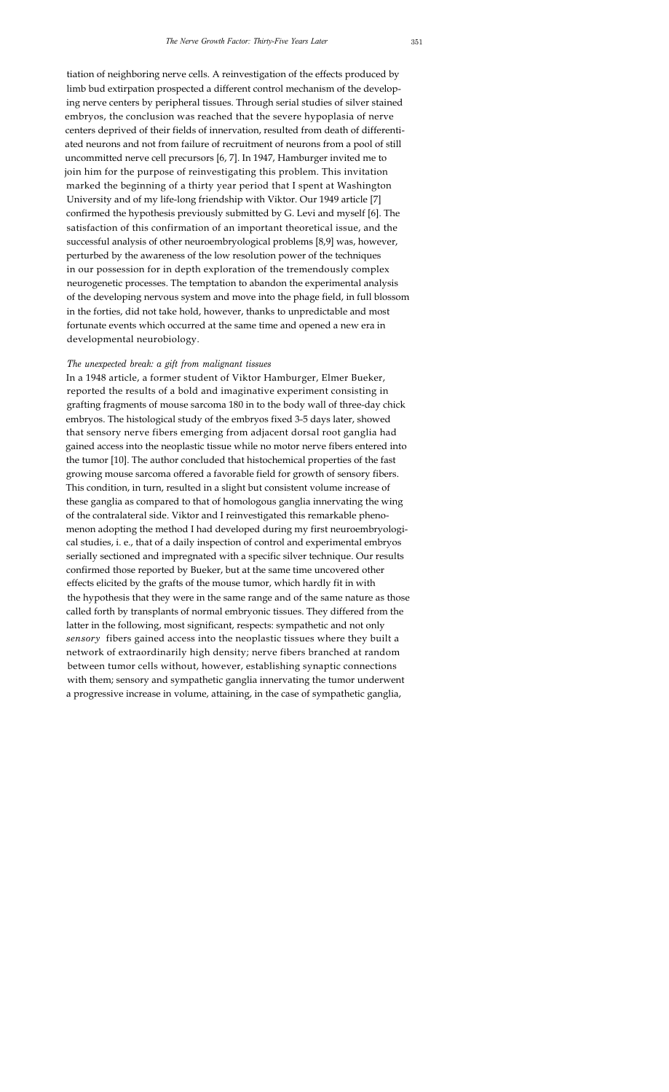tiation of neighboring nerve cells. A reinvestigation of the effects produced by limb bud extirpation prospected a different control mechanism of the developing nerve centers by peripheral tissues. Through serial studies of silver stained embryos, the conclusion was reached that the severe hypoplasia of nerve centers deprived of their fields of innervation, resulted from death of differentiated neurons and not from failure of recruitment of neurons from a pool of still uncommitted nerve cell precursors [6, 7]. In 1947, Hamburger invited me to join him for the purpose of reinvestigating this problem. This invitation marked the beginning of a thirty year period that I spent at Washington University and of my life-long friendship with Viktor. Our 1949 article [7] confirmed the hypothesis previously submitted by G. Levi and myself [6]. The satisfaction of this confirmation of an important theoretical issue, and the successful analysis of other neuroembryological problems [8,9] was, however, perturbed by the awareness of the low resolution power of the techniques in our possession for in depth exploration of the tremendously complex neurogenetic processes. The temptation to abandon the experimental analysis of the developing nervous system and move into the phage field, in full blossom in the forties, did not take hold, however, thanks to unpredictable and most fortunate events which occurred at the same time and opened a new era in developmental neurobiology.

## *The unexpected break: a gift from malignant tissues*

In a 1948 article, a former student of Viktor Hamburger, Elmer Bueker, reported the results of a bold and imaginative experiment consisting in grafting fragments of mouse sarcoma 180 in to the body wall of three-day chick embryos. The histological study of the embryos fixed 3-5 days later, showed that sensory nerve fibers emerging from adjacent dorsal root ganglia had gained access into the neoplastic tissue while no motor nerve fibers entered into the tumor [10]. The author concluded that histochemical properties of the fast growing mouse sarcoma offered a favorable field for growth of sensory fibers. This condition, in turn, resulted in a slight but consistent volume increase of these ganglia as compared to that of homologous ganglia innervating the wing of the contralateral side. Viktor and I reinvestigated this remarkable phenomenon adopting the method I had developed during my first neuroembryological studies, i. e., that of a daily inspection of control and experimental embryos serially sectioned and impregnated with a specific silver technique. Our results confirmed those reported by Bueker, but at the same time uncovered other effects elicited by the grafts of the mouse tumor, which hardly fit in with the hypothesis that they were in the same range and of the same nature as those called forth by transplants of normal embryonic tissues. They differed from the latter in the following, most significant, respects: sympathetic and not only *sensory* fibers gained access into the neoplastic tissues where they built a network of extraordinarily high density; nerve fibers branched at random between tumor cells without, however, establishing synaptic connections with them; sensory and sympathetic ganglia innervating the tumor underwent a progressive increase in volume, attaining, in the case of sympathetic ganglia,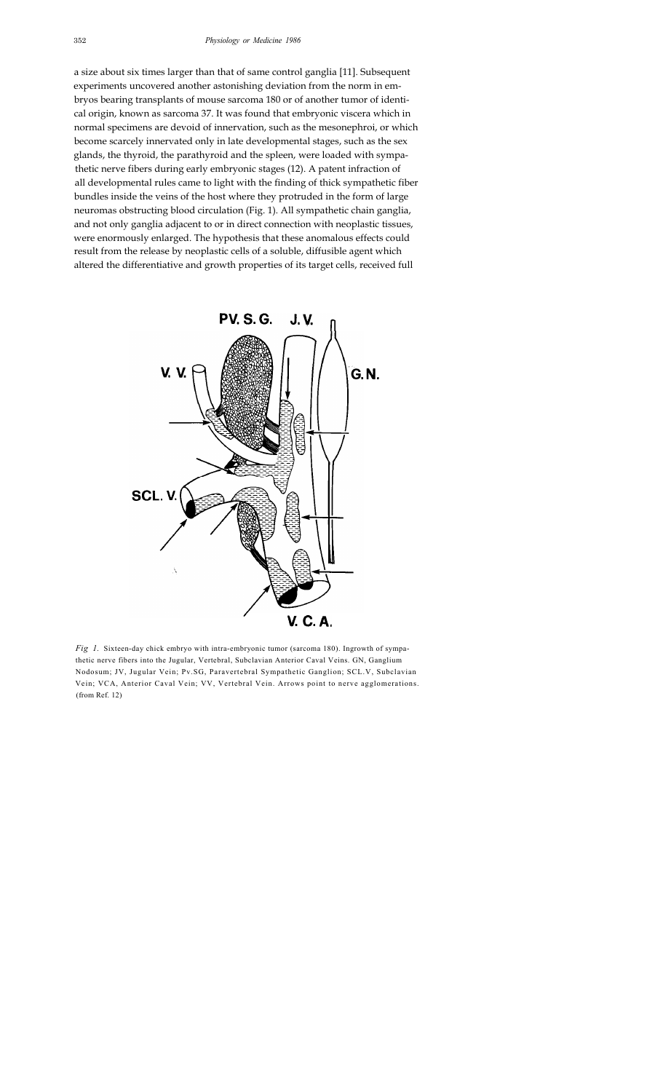a size about six times larger than that of same control ganglia [11]. Subsequent experiments uncovered another astonishing deviation from the norm in embryos bearing transplants of mouse sarcoma 180 or of another tumor of identical origin, known as sarcoma 37. It was found that embryonic viscera which in normal specimens are devoid of innervation, such as the mesonephroi, or which become scarcely innervated only in late developmental stages, such as the sex glands, the thyroid, the parathyroid and the spleen, were loaded with sympathetic nerve fibers during early embryonic stages (12). A patent infraction of all developmental rules came to light with the finding of thick sympathetic fiber bundles inside the veins of the host where they protruded in the form of large neuromas obstructing blood circulation (Fig. 1). All sympathetic chain ganglia, and not only ganglia adjacent to or in direct connection with neoplastic tissues, were enormously enlarged. The hypothesis that these anomalous effects could result from the release by neoplastic cells of a soluble, diffusible agent which altered the differentiative and growth properties of its target cells, received full



*Fig 1.* Sixteen-day chick embryo with intra-embryonic tumor (sarcoma 180). Ingrowth of sympathetic nerve fibers into the Jugular, Vertebral, Subclavian Anterior Caval Veins. GN, Ganglium Nodosum; JV, Jugular Vein; Pv.SG, Paravertebral Sympathetic Ganglion; SCL.V, Subclavian Vein; VCA, Anterior Caval Vein; VV, Vertebral Vein. Arrows point to nerve agglomerations. (from Ref. 12)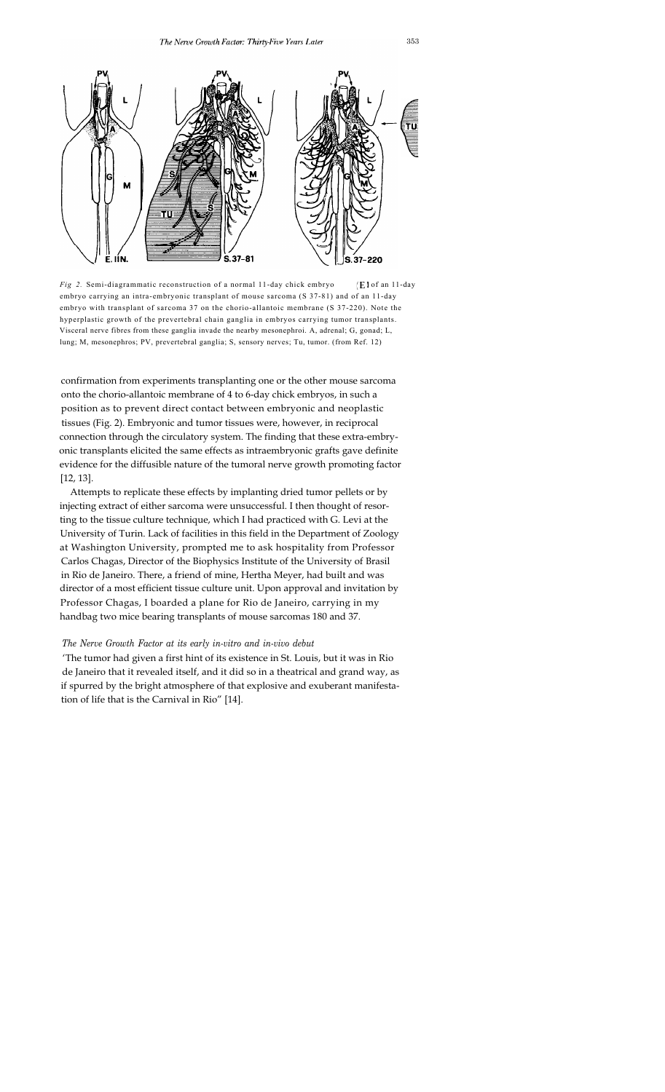

*Fig 2.* Semi-diagrammatic reconstruction of a normal 11-day chick embryo (E1of an 11-day embryo carrying an intra-embryonic transplant of mouse sarcoma (S 37-81) and of an 11-day embryo with transplant of sarcoma 37 on the chorio-allantoic membrane (S 37-220). Note the hyperplastic growth of the prevertebral chain ganglia in embryos carrying tumor transplants. Visceral nerve fibres from these ganglia invade the nearby mesonephroi. A, adrenal; G, gonad; L, lung; M, mesonephros; PV, prevertebral ganglia; S, sensory nerves; Tu, tumor. (from Ref. 12)

confirmation from experiments transplanting one or the other mouse sarcoma onto the chorio-allantoic membrane of 4 to 6-day chick embryos, in such a position as to prevent direct contact between embryonic and neoplastic tissues (Fig. 2). Embryonic and tumor tissues were, however, in reciprocal connection through the circulatory system. The finding that these extra-embryonic transplants elicited the same effects as intraembryonic grafts gave definite evidence for the diffusible nature of the tumoral nerve growth promoting factor [12, 13].

Attempts to replicate these effects by implanting dried tumor pellets or by injecting extract of either sarcoma were unsuccessful. I then thought of resorting to the tissue culture technique, which I had practiced with G. Levi at the University of Turin. Lack of facilities in this field in the Department of Zoology at Washington University, prompted me to ask hospitality from Professor Carlos Chagas, Director of the Biophysics Institute of the University of Brasil in Rio de Janeiro. There, a friend of mine, Hertha Meyer, had built and was director of a most efficient tissue culture unit. Upon approval and invitation by Professor Chagas, I boarded a plane for Rio de Janeiro, carrying in my handbag two mice bearing transplants of mouse sarcomas 180 and 37.

## *The Nerve Growth Factor at its early in-vitro and in-vivo debut*

'The tumor had given a first hint of its existence in St. Louis, but it was in Rio de Janeiro that it revealed itself, and it did so in a theatrical and grand way, as if spurred by the bright atmosphere of that explosive and exuberant manifestation of life that is the Carnival in Rio" [14].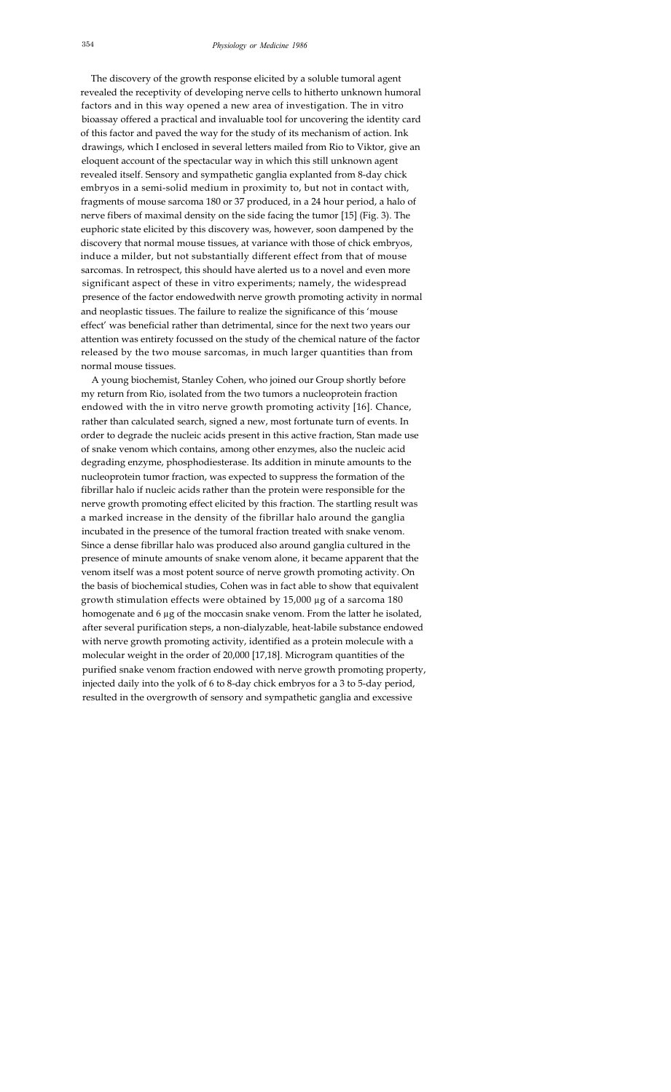The discovery of the growth response elicited by a soluble tumoral agent revealed the receptivity of developing nerve cells to hitherto unknown humoral factors and in this way opened a new area of investigation. The in vitro bioassay offered a practical and invaluable tool for uncovering the identity card of this factor and paved the way for the study of its mechanism of action. Ink drawings, which I enclosed in several letters mailed from Rio to Viktor, give an eloquent account of the spectacular way in which this still unknown agent revealed itself. Sensory and sympathetic ganglia explanted from 8-day chick embryos in a semi-solid medium in proximity to, but not in contact with, fragments of mouse sarcoma 180 or 37 produced, in a 24 hour period, a halo of nerve fibers of maximal density on the side facing the tumor [15] (Fig. 3). The euphoric state elicited by this discovery was, however, soon dampened by the discovery that normal mouse tissues, at variance with those of chick embryos, induce a milder, but not substantially different effect from that of mouse sarcomas. In retrospect, this should have alerted us to a novel and even more significant aspect of these in vitro experiments; namely, the widespread presence of the factor endowedwith nerve growth promoting activity in normal and neoplastic tissues. The failure to realize the significance of this 'mouse effect' was beneficial rather than detrimental, since for the next two years our attention was entirety focussed on the study of the chemical nature of the factor released by the two mouse sarcomas, in much larger quantities than from normal mouse tissues.

A young biochemist, Stanley Cohen, who joined our Group shortly before my return from Rio, isolated from the two tumors a nucleoprotein fraction endowed with the in vitro nerve growth promoting activity [16]. Chance, rather than calculated search, signed a new, most fortunate turn of events. In order to degrade the nucleic acids present in this active fraction, Stan made use of snake venom which contains, among other enzymes, also the nucleic acid degrading enzyme, phosphodiesterase. Its addition in minute amounts to the nucleoprotein tumor fraction, was expected to suppress the formation of the fibrillar halo if nucleic acids rather than the protein were responsible for the nerve growth promoting effect elicited by this fraction. The startling result was a marked increase in the density of the fibrillar halo around the ganglia incubated in the presence of the tumoral fraction treated with snake venom. Since a dense fibrillar halo was produced also around ganglia cultured in the presence of minute amounts of snake venom alone, it became apparent that the venom itself was a most potent source of nerve growth promoting activity. On the basis of biochemical studies, Cohen was in fact able to show that equivalent growth stimulation effects were obtained by 15,000 µg of a sarcoma 180 homogenate and 6 µg of the moccasin snake venom. From the latter he isolated, after several purification steps, a non-dialyzable, heat-labile substance endowed with nerve growth promoting activity, identified as a protein molecule with a molecular weight in the order of 20,000 [17,18]. Microgram quantities of the purified snake venom fraction endowed with nerve growth promoting property, injected daily into the yolk of 6 to 8-day chick embryos for a 3 to 5-day period, resulted in the overgrowth of sensory and sympathetic ganglia and excessive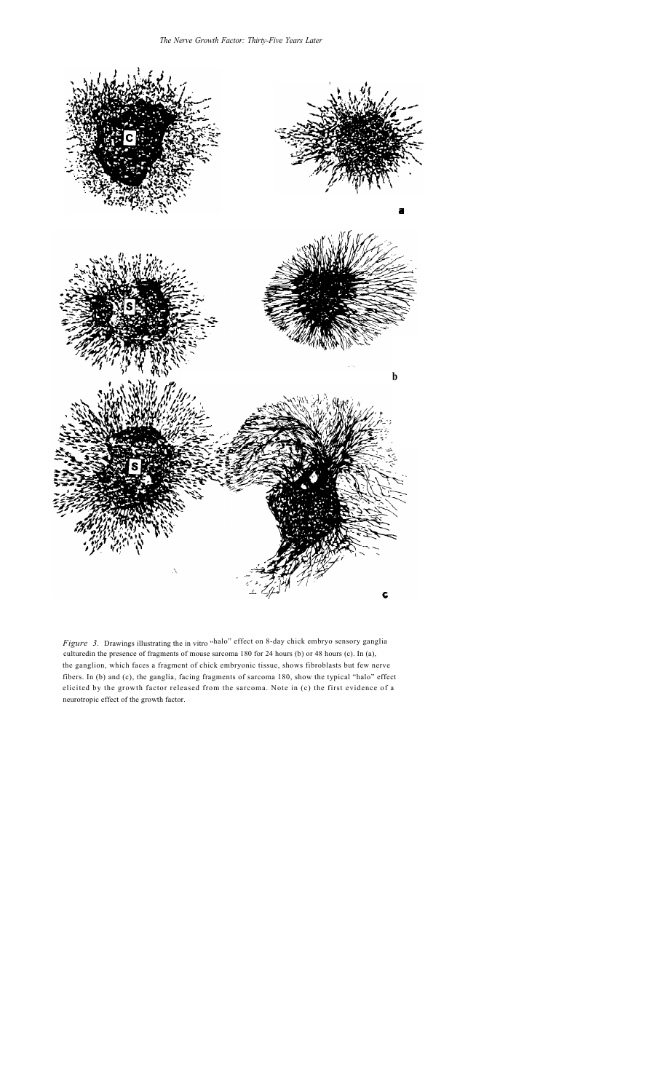

*Figure 3.* Drawings illustrating the in vitro "halo" effect on 8-day chick embryo sensory ganglia culturedin the presence of fragments of mouse sarcoma 180 for 24 hours (b) or 48 hours (c). In (a), the ganglion, which faces a fragment of chick embryonic tissue, shows fibroblasts but few nerve fibers. In (b) and (c), the ganglia, facing fragments of sarcoma 180, show the typical "halo" effect elicited by the growth factor released from the sarcoma. Note in (c) the first evidence of a neurotropic effect of the growth factor.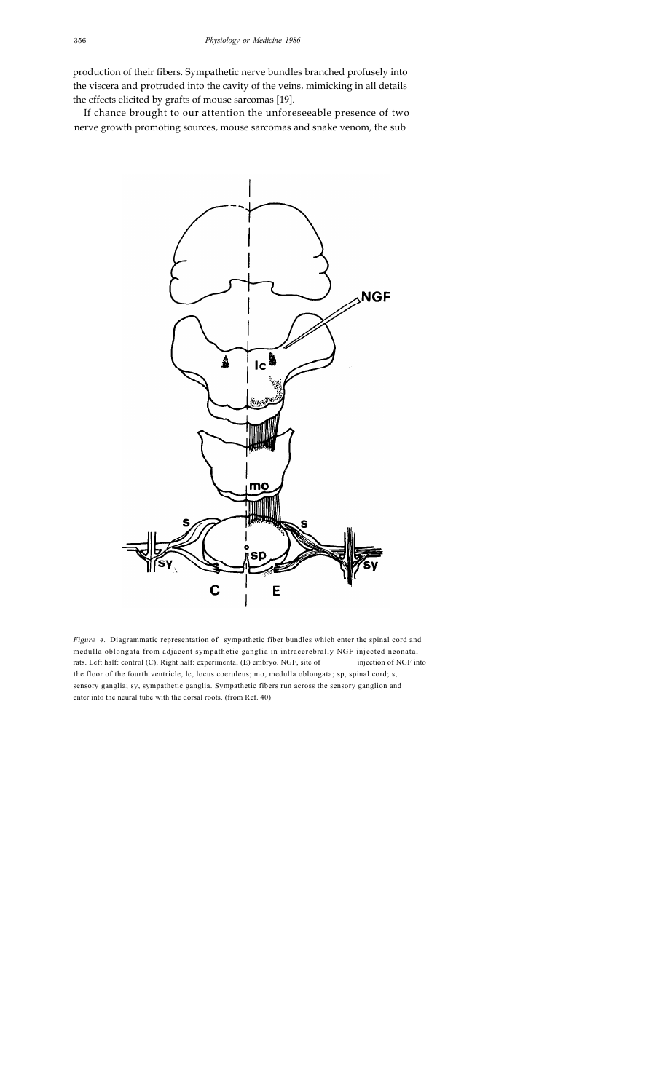production of their fibers. Sympathetic nerve bundles branched profusely into the viscera and protruded into the cavity of the veins, mimicking in all details the effects elicited by grafts of mouse sarcomas [19].

If chance brought to our attention the unforeseeable presence of two nerve growth promoting sources, mouse sarcomas and snake venom, the sub



*Figure 4.* Diagrammatic representation of sympathetic fiber bundles which enter the spinal cord and medulla oblongata from adjacent sympathetic ganglia in intracerebrally NGF injected neonatal rats. Left half: control (C). Right half: experimental (E) embryo. NGF, site of injection of NGF into the floor of the fourth ventricle, lc, locus coeruleus; mo, medulla oblongata; sp, spinal cord; s, sensory ganglia; sy, sympathetic ganglia. Sympathetic fibers run across the sensory ganglion and enter into the neural tube with the dorsal roots. (from Ref. 40)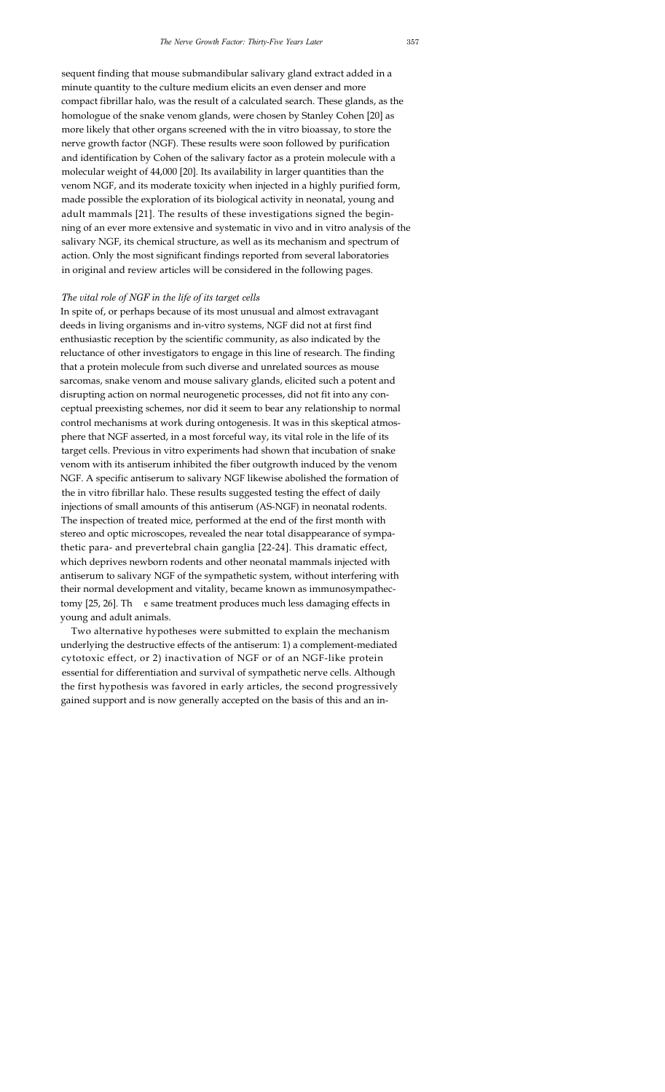sequent finding that mouse submandibular salivary gland extract added in a minute quantity to the culture medium elicits an even denser and more compact fibrillar halo, was the result of a calculated search. These glands, as the homologue of the snake venom glands, were chosen by Stanley Cohen [20] as more likely that other organs screened with the in vitro bioassay, to store the nerve growth factor (NGF). These results were soon followed by purification and identification by Cohen of the salivary factor as a protein molecule with a molecular weight of 44,000 [20]. Its availability in larger quantities than the venom NGF, and its moderate toxicity when injected in a highly purified form, made possible the exploration of its biological activity in neonatal, young and adult mammals [21]. The results of these investigations signed the beginning of an ever more extensive and systematic in vivo and in vitro analysis of the salivary NGF, its chemical structure, as well as its mechanism and spectrum of

action. Only the most significant findings reported from several laboratories in original and review articles will be considered in the following pages.

## *The vital role of NGF in the life of its target cells*

In spite of, or perhaps because of its most unusual and almost extravagant deeds in living organisms and in-vitro systems, NGF did not at first find enthusiastic reception by the scientific community, as also indicated by the reluctance of other investigators to engage in this line of research. The finding that a protein molecule from such diverse and unrelated sources as mouse sarcomas, snake venom and mouse salivary glands, elicited such a potent and disrupting action on normal neurogenetic processes, did not fit into any conceptual preexisting schemes, nor did it seem to bear any relationship to normal control mechanisms at work during ontogenesis. It was in this skeptical atmosphere that NGF asserted, in a most forceful way, its vital role in the life of its target cells. Previous in vitro experiments had shown that incubation of snake venom with its antiserum inhibited the fiber outgrowth induced by the venom NGF. A specific antiserum to salivary NGF likewise abolished the formation of the in vitro fibrillar halo. These results suggested testing the effect of daily injections of small amounts of this antiserum (AS-NGF) in neonatal rodents. The inspection of treated mice, performed at the end of the first month with stereo and optic microscopes, revealed the near total disappearance of sympathetic para- and prevertebral chain ganglia [22-24]. This dramatic effect, which deprives newborn rodents and other neonatal mammals injected with antiserum to salivary NGF of the sympathetic system, without interfering with their normal development and vitality, became known as immunosympathectomy [25, 26]. Th e same treatment produces much less damaging effects in young and adult animals.

Two alternative hypotheses were submitted to explain the mechanism underlying the destructive effects of the antiserum: 1) a complement-mediated cytotoxic effect, or 2) inactivation of NGF or of an NGF-like protein essential for differentiation and survival of sympathetic nerve cells. Although the first hypothesis was favored in early articles, the second progressively gained support and is now generally accepted on the basis of this and an in-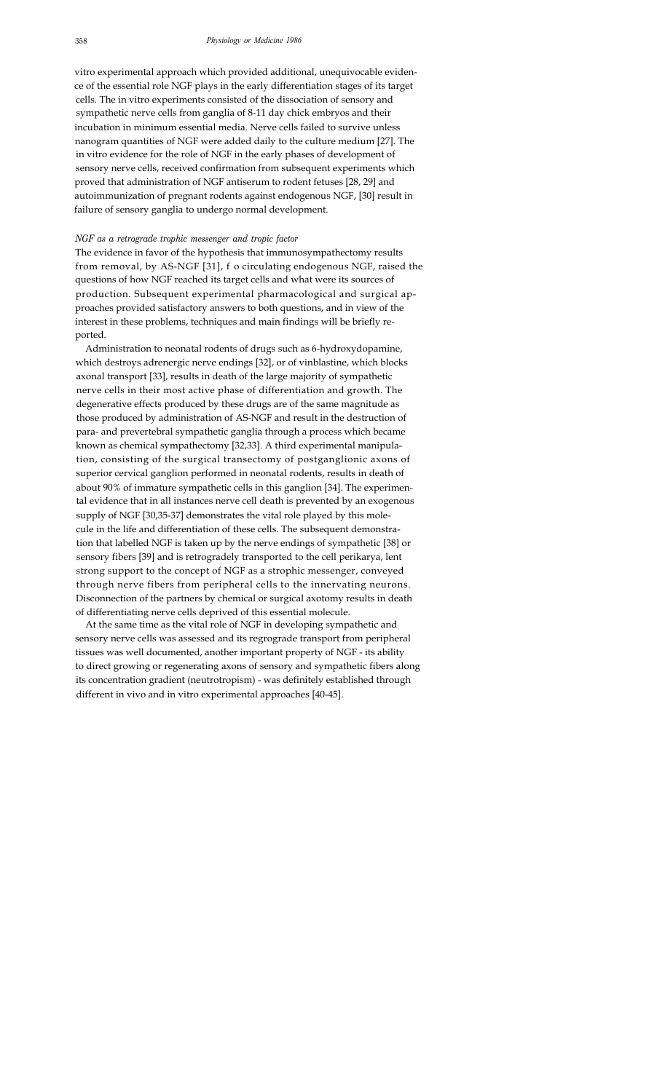vitro experimental approach which provided additional, unequivocable evidence of the essential role NGF plays in the early differentiation stages of its target cells. The in vitro experiments consisted of the dissociation of sensory and sympathetic nerve cells from ganglia of 8-11 day chick embryos and their incubation in minimum essential media. Nerve cells failed to survive unless nanogram quantities of NGF were added daily to the culture medium [27]. The in vitro evidence for the role of NGF in the early phases of development of sensory nerve cells, received confirmation from subsequent experiments which proved that administration of NGF antiserum to rodent fetuses [28, 29] and autoimmunization of pregnant rodents against endogenous NGF, [30] result in failure of sensory ganglia to undergo normal development.

## *NGF as a retrograde trophic messenger and tropic factor*

The evidence in favor of the hypothesis that immunosympathectomy results from removal, by AS-NGF [31], f o circulating endogenous NGF, raised the questions of how NGF reached its target cells and what were its sources of production. Subsequent experimental pharmacological and surgical approaches provided satisfactory answers to both questions, and in view of the interest in these problems, techniques and main findings will be briefly reported.

Administration to neonatal rodents of drugs such as 6-hydroxydopamine, which destroys adrenergic nerve endings [32], or of vinblastine, which blocks axonal transport [33], results in death of the large majority of sympathetic nerve cells in their most active phase of differentiation and growth. The degenerative effects produced by these drugs are of the same magnitude as those produced by administration of AS-NGF and result in the destruction of para- and prevertebral sympathetic ganglia through a process which became known as chemical sympathectomy [32,33]. A third experimental manipulation, consisting of the surgical transectomy of postganglionic axons of superior cervical ganglion performed in neonatal rodents, results in death of about 90% of immature sympathetic cells in this ganglion [34]. The experimental evidence that in all instances nerve cell death is prevented by an exogenous supply of NGF [30,35-37] demonstrates the vital role played by this molecule in the life and differentiation of these cells. The subsequent demonstration that labelled NGF is taken up by the nerve endings of sympathetic [38] or sensory fibers [39] and is retrogradely transported to the cell perikarya, lent strong support to the concept of NGF as a strophic messenger, conveyed through nerve fibers from peripheral cells to the innervating neurons. Disconnection of the partners by chemical or surgical axotomy results in death of differentiating nerve cells deprived of this essential molecule.

At the same time as the vital role of NGF in developing sympathetic and sensory nerve cells was assessed and its regrograde transport from peripheral tissues was well documented, another important property of NGF - its ability to direct growing or regenerating axons of sensory and sympathetic fibers along its concentration gradient (neutrotropism) - was definitely established through different in vivo and in vitro experimental approaches [40-45].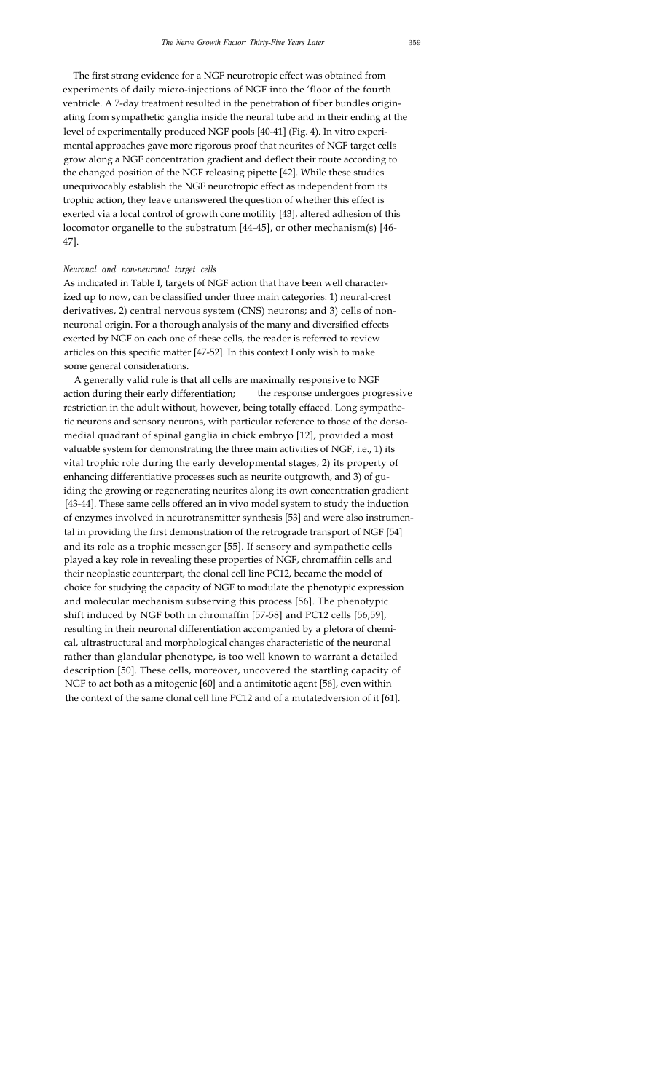The first strong evidence for a NGF neurotropic effect was obtained from experiments of daily micro-injections of NGF into the 'floor of the fourth ventricle. A 7-day treatment resulted in the penetration of fiber bundles originating from sympathetic ganglia inside the neural tube and in their ending at the level of experimentally produced NGF pools [40-41] (Fig. 4). In vitro experimental approaches gave more rigorous proof that neurites of NGF target cells grow along a NGF concentration gradient and deflect their route according to the changed position of the NGF releasing pipette [42]. While these studies unequivocably establish the NGF neurotropic effect as independent from its trophic action, they leave unanswered the question of whether this effect is exerted via a local control of growth cone motility [43], altered adhesion of this locomotor organelle to the substratum [44-45], or other mechanism(s) [46- 47].

#### *Neuronal and non-neuronal target cells*

As indicated in Table I, targets of NGF action that have been well characterized up to now, can be classified under three main categories: 1) neural-crest derivatives, 2) central nervous system (CNS) neurons; and 3) cells of nonneuronal origin. For a thorough analysis of the many and diversified effects exerted by NGF on each one of these cells, the reader is referred to review articles on this specific matter [47-52]. In this context I only wish to make some general considerations.

A generally valid rule is that all cells are maximally responsive to NGF action during their early differentiation; the response undergoes progressive restriction in the adult without, however, being totally effaced. Long sympathetic neurons and sensory neurons, with particular reference to those of the dorsomedial quadrant of spinal ganglia in chick embryo [12], provided a most valuable system for demonstrating the three main activities of NGF, i.e., 1) its vital trophic role during the early developmental stages, 2) its property of enhancing differentiative processes such as neurite outgrowth, and 3) of guiding the growing or regenerating neurites along its own concentration gradient [43-44]. These same cells offered an in vivo model system to study the induction of enzymes involved in neurotransmitter synthesis [53] and were also instrumental in providing the first demonstration of the retrograde transport of NGF [54] and its role as a trophic messenger [55]. If sensory and sympathetic cells played a key role in revealing these properties of NGF, chromaffiin cells and their neoplastic counterpart, the clonal cell line PC12, became the model of choice for studying the capacity of NGF to modulate the phenotypic expression and molecular mechanism subserving this process [56]. The phenotypic shift induced by NGF both in chromaffin [57-58] and PC12 cells [56,59], resulting in their neuronal differentiation accompanied by a pletora of chemical, ultrastructural and morphological changes characteristic of the neuronal rather than glandular phenotype, is too well known to warrant a detailed description [50]. These cells, moreover, uncovered the startling capacity of NGF to act both as a mitogenic [60] and a antimitotic agent [56], even within the context of the same clonal cell line PC12 and of a mutatedversion of it [61].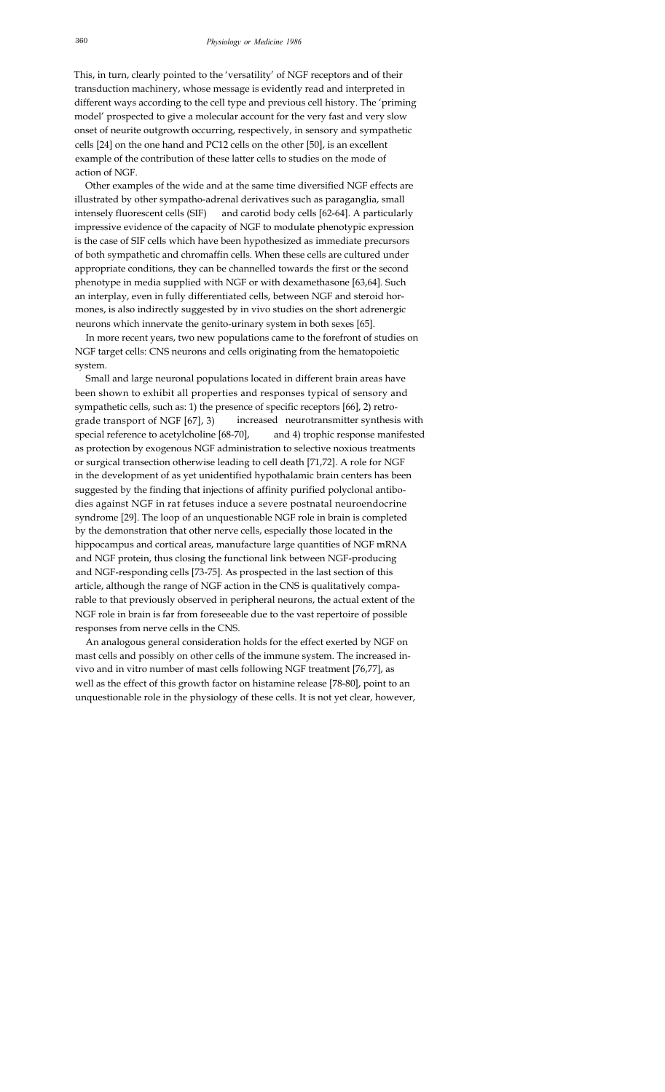This, in turn, clearly pointed to the 'versatility' of NGF receptors and of their transduction machinery, whose message is evidently read and interpreted in different ways according to the cell type and previous cell history. The 'priming model' prospected to give a molecular account for the very fast and very slow onset of neurite outgrowth occurring, respectively, in sensory and sympathetic cells [24] on the one hand and PC12 cells on the other [50], is an excellent example of the contribution of these latter cells to studies on the mode of action of NGF.

Other examples of the wide and at the same time diversified NGF effects are illustrated by other sympatho-adrenal derivatives such as paraganglia, small intensely fluorescent cells (SIF) and carotid body cells [62-64]. A particularly impressive evidence of the capacity of NGF to modulate phenotypic expression is the case of SIF cells which have been hypothesized as immediate precursors of both sympathetic and chromaffin cells. When these cells are cultured under appropriate conditions, they can be channelled towards the first or the second phenotype in media supplied with NGF or with dexamethasone [63,64]. Such an interplay, even in fully differentiated cells, between NGF and steroid hormones, is also indirectly suggested by in vivo studies on the short adrenergic neurons which innervate the genito-urinary system in both sexes [65].

In more recent years, two new populations came to the forefront of studies on NGF target cells: CNS neurons and cells originating from the hematopoietic system.

Small and large neuronal populations located in different brain areas have been shown to exhibit all properties and responses typical of sensory and sympathetic cells, such as: 1) the presence of specific receptors [66], 2) retrograde transport of NGF [67], 3) increased neurotransmitter synthesis with special reference to acetylcholine [68-70], and 4) trophic response manifested as protection by exogenous NGF administration to selective noxious treatments or surgical transection otherwise leading to cell death [71,72]. A role for NGF in the development of as yet unidentified hypothalamic brain centers has been suggested by the finding that injections of affinity purified polyclonal antibodies against NGF in rat fetuses induce a severe postnatal neuroendocrine syndrome [29]. The loop of an unquestionable NGF role in brain is completed by the demonstration that other nerve cells, especially those located in the hippocampus and cortical areas, manufacture large quantities of NGF mRNA and NGF protein, thus closing the functional link between NGF-producing and NGF-responding cells [73-75]. As prospected in the last section of this article, although the range of NGF action in the CNS is qualitatively comparable to that previously observed in peripheral neurons, the actual extent of the NGF role in brain is far from foreseeable due to the vast repertoire of possible responses from nerve cells in the CNS.

An analogous general consideration holds for the effect exerted by NGF on mast cells and possibly on other cells of the immune system. The increased invivo and in vitro number of mast cells following NGF treatment [76,77], as well as the effect of this growth factor on histamine release [78-80], point to an unquestionable role in the physiology of these cells. It is not yet clear, however,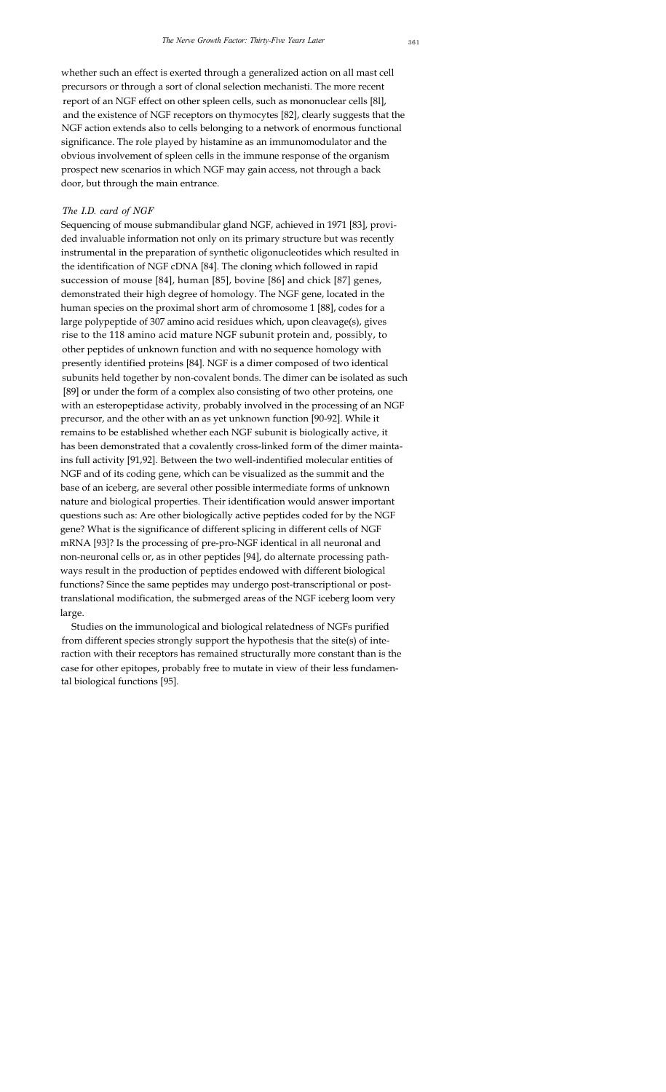whether such an effect is exerted through a generalized action on all mast cell precursors or through a sort of clonal selection mechanisti. The more recent report of an NGF effect on other spleen cells, such as mononuclear cells [8l], and the existence of NGF receptors on thymocytes [82], clearly suggests that the NGF action extends also to cells belonging to a network of enormous functional significance. The role played by histamine as an immunomodulator and the obvious involvement of spleen cells in the immune response of the organism prospect new scenarios in which NGF may gain access, not through a back door, but through the main entrance.

#### *The I.D. card of NGF*

Sequencing of mouse submandibular gland NGF, achieved in 1971 [83], provided invaluable information not only on its primary structure but was recently instrumental in the preparation of synthetic oligonucleotides which resulted in the identification of NGF cDNA [84]. The cloning which followed in rapid succession of mouse [84], human [85], bovine [86] and chick [87] genes, demonstrated their high degree of homology. The NGF gene, located in the human species on the proximal short arm of chromosome 1 [88], codes for a large polypeptide of 307 amino acid residues which, upon cleavage(s), gives rise to the 118 amino acid mature NGF subunit protein and, possibly, to other peptides of unknown function and with no sequence homology with presently identified proteins [84]. NGF is a dimer composed of two identical subunits held together by non-covalent bonds. The dimer can be isolated as such [89] or under the form of a complex also consisting of two other proteins, one with an esteropeptidase activity, probably involved in the processing of an NGF precursor, and the other with an as yet unknown function [90-92]. While it remains to be established whether each NGF subunit is biologically active, it has been demonstrated that a covalently cross-linked form of the dimer maintains full activity [91,92]. Between the two well-indentified molecular entities of NGF and of its coding gene, which can be visualized as the summit and the base of an iceberg, are several other possible intermediate forms of unknown nature and biological properties. Their identification would answer important questions such as: Are other biologically active peptides coded for by the NGF gene? What is the significance of different splicing in different cells of NGF mRNA [93]? Is the processing of pre-pro-NGF identical in all neuronal and non-neuronal cells or, as in other peptides [94], do alternate processing pathways result in the production of peptides endowed with different biological functions? Since the same peptides may undergo post-transcriptional or posttranslational modification, the submerged areas of the NGF iceberg loom very large.

Studies on the immunological and biological relatedness of NGFs purified from different species strongly support the hypothesis that the site(s) of interaction with their receptors has remained structurally more constant than is the case for other epitopes, probably free to mutate in view of their less fundamental biological functions [95].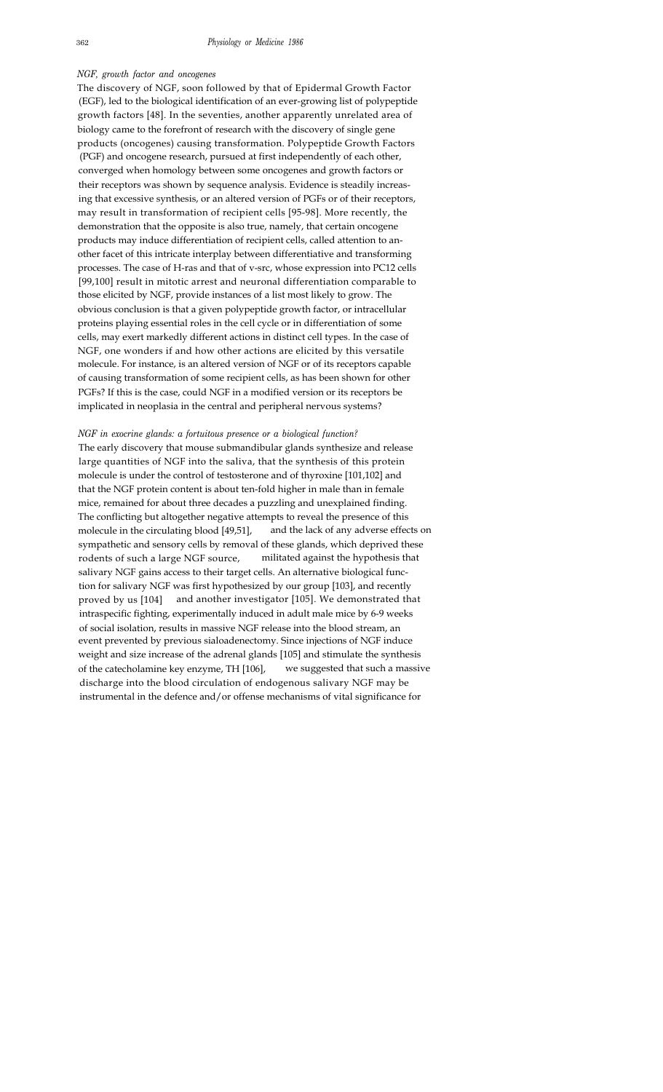## *NGF, growth factor and oncogenes*

The discovery of NGF, soon followed by that of Epidermal Growth Factor (EGF), led to the biological identification of an ever-growing list of polypeptide growth factors [48]. In the seventies, another apparently unrelated area of biology came to the forefront of research with the discovery of single gene products (oncogenes) causing transformation. Polypeptide Growth Factors (PGF) and oncogene research, pursued at first independently of each other, converged when homology between some oncogenes and growth factors or their receptors was shown by sequence analysis. Evidence is steadily increasing that excessive synthesis, or an altered version of PGFs or of their receptors, may result in transformation of recipient cells [95-98]. More recently, the demonstration that the opposite is also true, namely, that certain oncogene products may induce differentiation of recipient cells, called attention to another facet of this intricate interplay between differentiative and transforming processes. The case of H-ras and that of v-src, whose expression into PC12 cells [99,100] result in mitotic arrest and neuronal differentiation comparable to those elicited by NGF, provide instances of a list most likely to grow. The obvious conclusion is that a given polypeptide growth factor, or intracellular proteins playing essential roles in the cell cycle or in differentiation of some cells, may exert markedly different actions in distinct cell types. In the case of NGF, one wonders if and how other actions are elicited by this versatile molecule. For instance, is an altered version of NGF or of its receptors capable of causing transformation of some recipient cells, as has been shown for other PGFs? If this is the case, could NGF in a modified version or its receptors be implicated in neoplasia in the central and peripheral nervous systems?

#### *NGF in exocrine glands: a fortuitous presence or a biological function?*

The early discovery that mouse submandibular glands synthesize and release large quantities of NGF into the saliva, that the synthesis of this protein molecule is under the control of testosterone and of thyroxine [101,102] and that the NGF protein content is about ten-fold higher in male than in female mice, remained for about three decades a puzzling and unexplained finding. The conflicting but altogether negative attempts to reveal the presence of this molecule in the circulating blood [49,51], and the lack of any adverse effects on sympathetic and sensory cells by removal of these glands, which deprived these rodents of such a large NGF source, militated against the hypothesis that salivary NGF gains access to their target cells. An alternative biological function for salivary NGF was first hypothesized by our group [103], and recently proved by us [104] and another investigator [105]. We demonstrated that intraspecific fighting, experimentally induced in adult male mice by 6-9 weeks of social isolation, results in massive NGF release into the blood stream, an event prevented by previous sialoadenectomy. Since injections of NGF induce weight and size increase of the adrenal glands [105] and stimulate the synthesis of the catecholamine key enzyme, TH [106], we suggested that such a massive discharge into the blood circulation of endogenous salivary NGF may be instrumental in the defence and/or offense mechanisms of vital significance for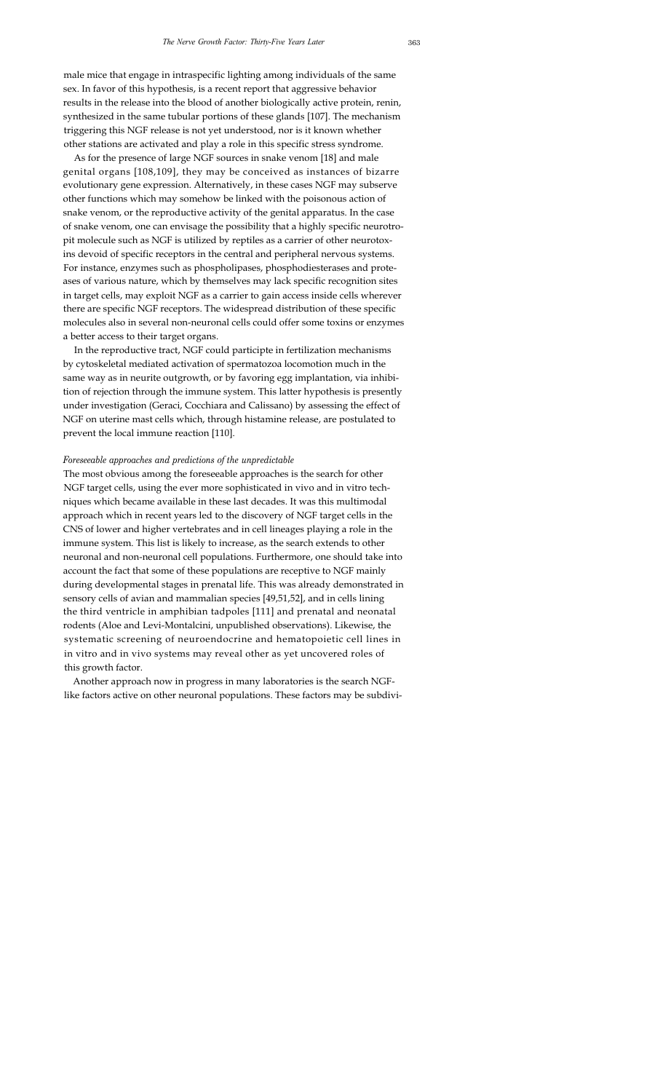male mice that engage in intraspecific lighting among individuals of the same sex. In favor of this hypothesis, is a recent report that aggressive behavior results in the release into the blood of another biologically active protein, renin, synthesized in the same tubular portions of these glands [107]. The mechanism triggering this NGF release is not yet understood, nor is it known whether other stations are activated and play a role in this specific stress syndrome.

As for the presence of large NGF sources in snake venom [18] and male genital organs [108,109], they may be conceived as instances of bizarre evolutionary gene expression. Alternatively, in these cases NGF may subserve other functions which may somehow be linked with the poisonous action of snake venom, or the reproductive activity of the genital apparatus. In the case of snake venom, one can envisage the possibility that a highly specific neurotropit molecule such as NGF is utilized by reptiles as a carrier of other neurotoxins devoid of specific receptors in the central and peripheral nervous systems. For instance, enzymes such as phospholipases, phosphodiesterases and proteases of various nature, which by themselves may lack specific recognition sites in target cells, may exploit NGF as a carrier to gain access inside cells wherever there are specific NGF receptors. The widespread distribution of these specific molecules also in several non-neuronal cells could offer some toxins or enzymes a better access to their target organs.

In the reproductive tract, NGF could participte in fertilization mechanisms by cytoskeletal mediated activation of spermatozoa locomotion much in the same way as in neurite outgrowth, or by favoring egg implantation, via inhibition of rejection through the immune system. This latter hypothesis is presently under investigation (Geraci, Cocchiara and Calissano) by assessing the effect of NGF on uterine mast cells which, through histamine release, are postulated to prevent the local immune reaction [110].

#### *Foreseeable approaches and predictions of the unpredictable*

The most obvious among the foreseeable approaches is the search for other NGF target cells, using the ever more sophisticated in vivo and in vitro techniques which became available in these last decades. It was this multimodal approach which in recent years led to the discovery of NGF target cells in the CNS of lower and higher vertebrates and in cell lineages playing a role in the immune system. This list is likely to increase, as the search extends to other neuronal and non-neuronal cell populations. Furthermore, one should take into account the fact that some of these populations are receptive to NGF mainly during developmental stages in prenatal life. This was already demonstrated in sensory cells of avian and mammalian species [49,51,52], and in cells lining the third ventricle in amphibian tadpoles [111] and prenatal and neonatal rodents (Aloe and Levi-Montalcini, unpublished observations). Likewise, the systematic screening of neuroendocrine and hematopoietic cell lines in in vitro and in vivo systems may reveal other as yet uncovered roles of this growth factor.

Another approach now in progress in many laboratories is the search NGFlike factors active on other neuronal populations. These factors may be subdivi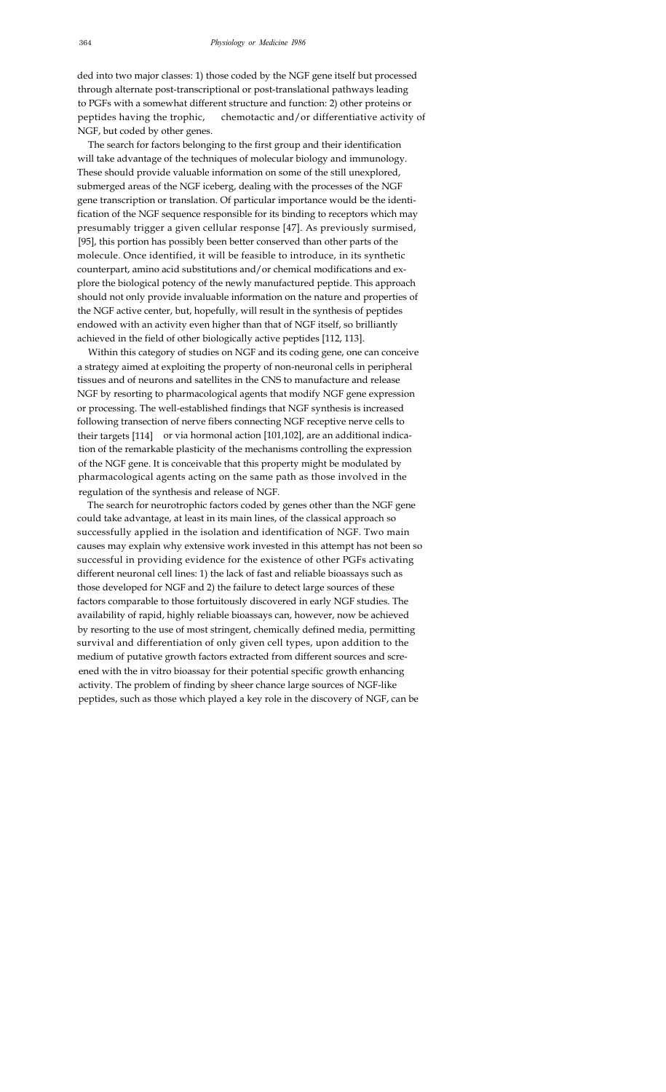ded into two major classes: 1) those coded by the NGF gene itself but processed through alternate post-transcriptional or post-translational pathways leading to PGFs with a somewhat different structure and function: 2) other proteins or peptides having the trophic, chemotactic and/or differentiative activity of NGF, but coded by other genes.

The search for factors belonging to the first group and their identification will take advantage of the techniques of molecular biology and immunology. These should provide valuable information on some of the still unexplored, submerged areas of the NGF iceberg, dealing with the processes of the NGF gene transcription or translation. Of particular importance would be the identification of the NGF sequence responsible for its binding to receptors which may presumably trigger a given cellular response [47]. As previously surmised, [95], this portion has possibly been better conserved than other parts of the molecule. Once identified, it will be feasible to introduce, in its synthetic counterpart, amino acid substitutions and/or chemical modifications and explore the biological potency of the newly manufactured peptide. This approach should not only provide invaluable information on the nature and properties of the NGF active center, but, hopefully, will result in the synthesis of peptides endowed with an activity even higher than that of NGF itself, so brilliantly achieved in the field of other biologically active peptides [112, 113].

Within this category of studies on NGF and its coding gene, one can conceive a strategy aimed at exploiting the property of non-neuronal cells in peripheral tissues and of neurons and satellites in the CNS to manufacture and release NGF by resorting to pharmacological agents that modify NGF gene expression or processing. The well-established findings that NGF synthesis is increased following transection of nerve fibers connecting NGF receptive nerve cells to their targets [114] or via hormonal action [101,102], are an additional indication of the remarkable plasticity of the mechanisms controlling the expression of the NGF gene. It is conceivable that this property might be modulated by pharmacological agents acting on the same path as those involved in the regulation of the synthesis and release of NGF.

The search for neurotrophic factors coded by genes other than the NGF gene could take advantage, at least in its main lines, of the classical approach so successfully applied in the isolation and identification of NGF. Two main causes may explain why extensive work invested in this attempt has not been so successful in providing evidence for the existence of other PGFs activating different neuronal cell lines: 1) the lack of fast and reliable bioassays such as those developed for NGF and 2) the failure to detect large sources of these factors comparable to those fortuitously discovered in early NGF studies. The availability of rapid, highly reliable bioassays can, however, now be achieved by resorting to the use of most stringent, chemically defined media, permitting survival and differentiation of only given cell types, upon addition to the medium of putative growth factors extracted from different sources and screened with the in vitro bioassay for their potential specific growth enhancing activity. The problem of finding by sheer chance large sources of NGF-like peptides, such as those which played a key role in the discovery of NGF, can be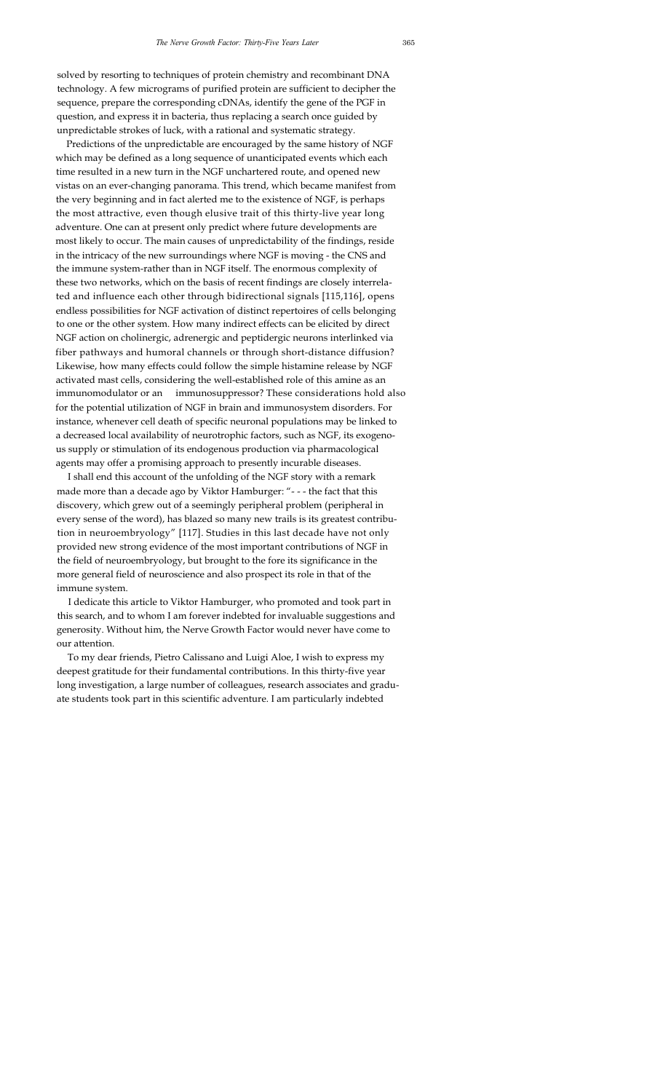solved by resorting to techniques of protein chemistry and recombinant DNA technology. A few micrograms of purified protein are sufficient to decipher the sequence, prepare the corresponding cDNAs, identify the gene of the PGF in question, and express it in bacteria, thus replacing a search once guided by unpredictable strokes of luck, with a rational and systematic strategy.

Predictions of the unpredictable are encouraged by the same history of NGF which may be defined as a long sequence of unanticipated events which each time resulted in a new turn in the NGF unchartered route, and opened new vistas on an ever-changing panorama. This trend, which became manifest from the very beginning and in fact alerted me to the existence of NGF, is perhaps the most attractive, even though elusive trait of this thirty-live year long adventure. One can at present only predict where future developments are most likely to occur. The main causes of unpredictability of the findings, reside in the intricacy of the new surroundings where NGF is moving - the CNS and the immune system-rather than in NGF itself. The enormous complexity of these two networks, which on the basis of recent findings are closely interrelated and influence each other through bidirectional signals [115,116], opens endless possibilities for NGF activation of distinct repertoires of cells belonging to one or the other system. How many indirect effects can be elicited by direct NGF action on cholinergic, adrenergic and peptidergic neurons interlinked via fiber pathways and humoral channels or through short-distance diffusion? Likewise, how many effects could follow the simple histamine release by NGF activated mast cells, considering the well-established role of this amine as an immunomodulator or an immunosuppressor? These considerations hold also for the potential utilization of NGF in brain and immunosystem disorders. For instance, whenever cell death of specific neuronal populations may be linked to a decreased local availability of neurotrophic factors, such as NGF, its exogenous supply or stimulation of its endogenous production via pharmacological agents may offer a promising approach to presently incurable diseases.

I shall end this account of the unfolding of the NGF story with a remark made more than a decade ago by Viktor Hamburger: "- - - the fact that this discovery, which grew out of a seemingly peripheral problem (peripheral in every sense of the word), has blazed so many new trails is its greatest contribution in neuroembryology" [117]. Studies in this last decade have not only provided new strong evidence of the most important contributions of NGF in the field of neuroembryology, but brought to the fore its significance in the more general field of neuroscience and also prospect its role in that of the immune system.

I dedicate this article to Viktor Hamburger, who promoted and took part in this search, and to whom I am forever indebted for invaluable suggestions and generosity. Without him, the Nerve Growth Factor would never have come to our attention.

To my dear friends, Pietro Calissano and Luigi Aloe, I wish to express my deepest gratitude for their fundamental contributions. In this thirty-five year long investigation, a large number of colleagues, research associates and graduate students took part in this scientific adventure. I am particularly indebted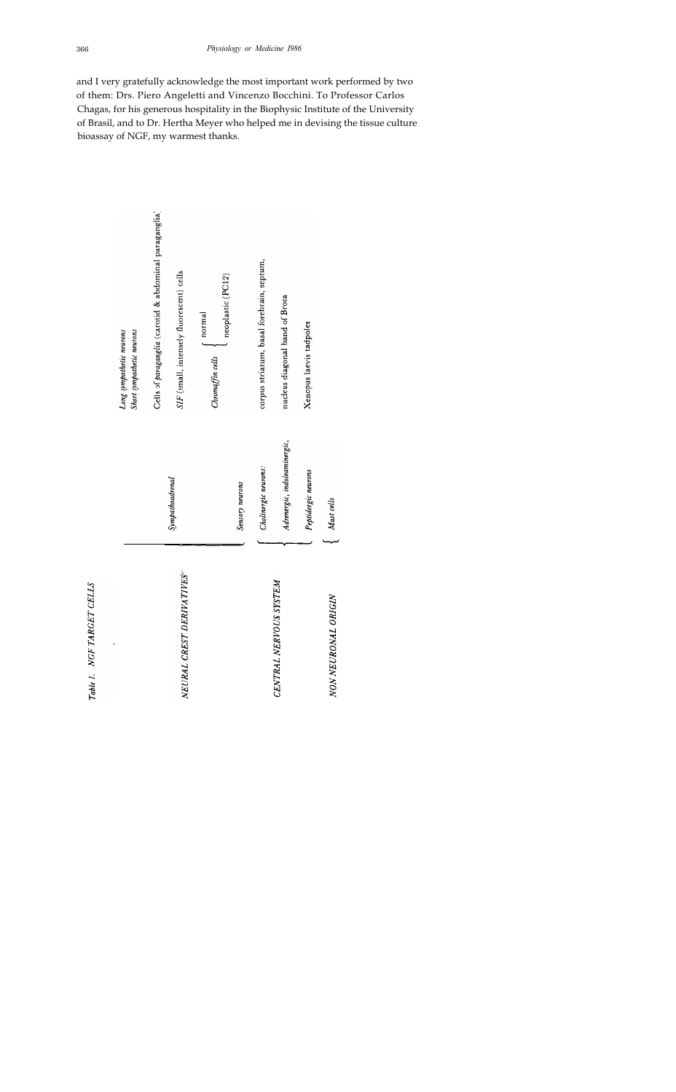and I very gratefully acknowledge the most important work performed by two of them: Drs. Piero Angeletti and Vincenzo Bocchini. To Professor Carlos Chagas, for his generous hospitality in the Biophysic Institute of the University of Brasil, and to Dr. Hertha Meyer who helped me in devising the tissue culture bioassay of NGF, my warmest thanks.

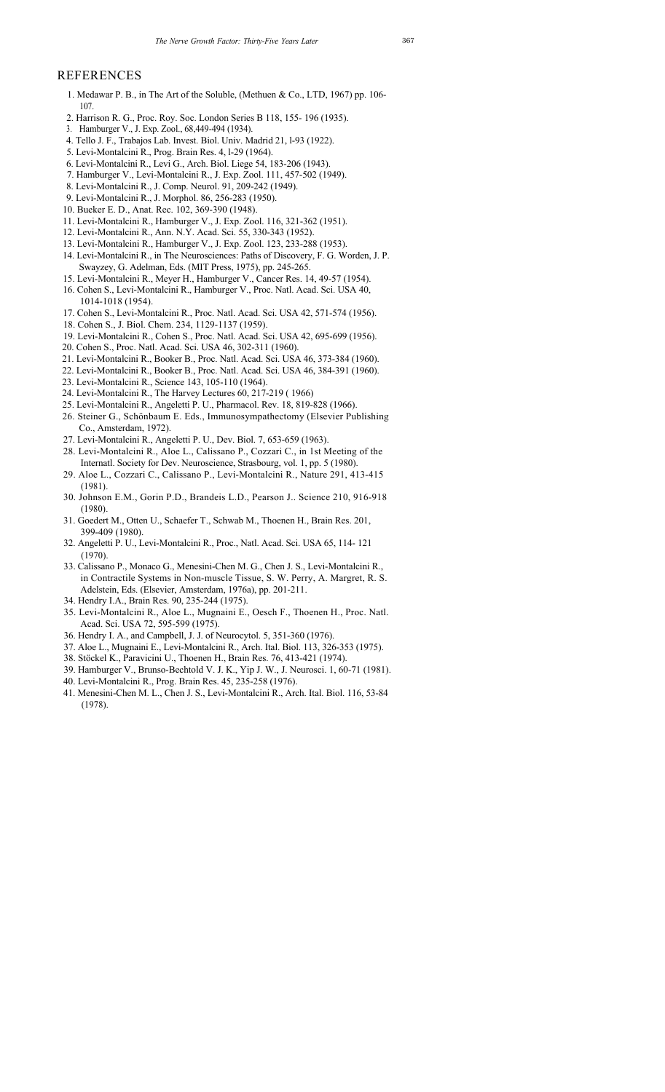## **REFERENCES**

- 1. Medawar P. B., in The Art of the Soluble, (Methuen & Co., LTD, 1967) pp. 106- 107.
- 2. Harrison R. G., Proc. Roy. Soc. London Series B 118, 155- 196 (1935).
- 3. Hamburger V., J. Exp. Zool., 68,449-494 (1934).
- 4. Tello J. F., Trabajos Lab. Invest. Biol. Univ. Madrid 21, l-93 (1922).
- 5. Levi-Montalcini R., Prog. Brain Res. 4, l-29 (1964).
- 6. Levi-Montalcini R., Levi G., Arch. Biol. Liege 54, 183-206 (1943).
- 7. Hamburger V., Levi-Montalcini R., J. Exp. Zool. 111, 457-502 (1949).
- 8. Levi-Montalcini R., J. Comp. Neurol. 91, 209-242 (1949).
- 9. Levi-Montalcini R., J. Morphol. 86, 256-283 (1950).
- 10. Bueker E. D., Anat. Rec. 102, 369-390 (1948).
- 11. Levi-Montalcini R., Hamburger V., J. Exp. Zool. 116, 321-362 (1951).
- 12. Levi-Montalcini R., Ann. N.Y. Acad. Sci. 55, 330-343 (1952).
- 13. Levi-Montalcini R., Hamburger V., J. Exp. Zool. 123, 233-288 (1953).
- 14. Levi-Montalcini R., in The Neurosciences: Paths of Discovery, F. G. Worden, J. P. Swayzey, G. Adelman, Eds. (MIT Press, 1975), pp. 245-265.
- 15. Levi-Montalcini R., Meyer H., Hamburger V., Cancer Res. 14, 49-57 (1954).
- 16. Cohen S., Levi-Montalcini R., Hamburger V., Proc. Natl. Acad. Sci. USA 40, 1014-1018 (1954).
- 17. Cohen S., Levi-Montalcini R., Proc. Natl. Acad. Sci. USA 42, 571-574 (1956).
- 18. Cohen S., J. Biol. Chem. 234, 1129-1137 (1959).
- 19. Levi-Montalcini R., Cohen S., Proc. Natl. Acad. Sci. USA 42, 695-699 (1956).
- 20. Cohen S., Proc. Natl. Acad. Sci. USA 46, 302-311 (1960).
- 21. Levi-Montalcini R., Booker B., Proc. Natl. Acad. Sci. USA 46, 373-384 (1960).
- 22. Levi-Montalcini R., Booker B., Proc. Natl. Acad. Sci. USA 46, 384-391 (1960).
- 23. Levi-Montalcini R., Science 143, 105-110 (1964).
- 24. Levi-Montalcini R., The Harvey Lectures 60, 217-219 ( 1966)
- 25. Levi-Montalcini R., Angeletti P. U., Pharmacol. Rev. 18, 819-828 (1966).
- 26. Steiner G., Schönbaum E. Eds., Immunosympathectomy (Elsevier Publishing Co., Amsterdam, 1972).
- 27. Levi-Montalcini R., Angeletti P. U., Dev. Biol. 7, 653-659 (1963).
- 28. Levi-Montalcini R., Aloe L., Calissano P., Cozzari C., in 1st Meeting of the Internatl. Society for Dev. Neuroscience, Strasbourg, vol. 1, pp. 5 (1980).
- 29. Aloe L., Cozzari C., Calissano P., Levi-Montalcini R., Nature 291, 413-415 (1981).
- 30. Johnson E.M., Gorin P.D., Brandeis L.D., Pearson J.. Science 210, 916-918 (1980).
- 31. Goedert M., Otten U., Schaefer T., Schwab M., Thoenen H., Brain Res. 201, 399-409 (1980).
- 32. Angeletti P. U., Levi-Montalcini R., Proc., Natl. Acad. Sci. USA 65, 114- 121 (1970).
- 33. Calissano P., Monaco G., Menesini-Chen M. G., Chen J. S., Levi-Montalcini R., in Contractile Systems in Non-muscle Tissue, S. W. Perry, A. Margret, R. S. Adelstein, Eds. (Elsevier, Amsterdam, 1976a), pp. 201-211.
- 34. Hendry I.A., Brain Res. 90, 235-244 (1975).
- 35. Levi-Montalcini R., Aloe L., Mugnaini E., Oesch F., Thoenen H., Proc. Natl. Acad. Sci. USA 72, 595-599 (1975).
- 36. Hendry I. A., and Campbell, J. J. of Neurocytol. 5, 351-360 (1976).
- 37. Aloe L., Mugnaini E., Levi-Montalcini R., Arch. Ital. Biol. 113, 326-353 (1975).
- 38. Stöckel K., Paravicini U., Thoenen H., Brain Res. 76, 413-421 (1974).
- 39. Hamburger V., Brunso-Bechtold V. J. K., Yip J. W., J. Neurosci. 1, 60-71 (1981).
- 40. Levi-Montalcini R., Prog. Brain Res. 45, 235-258 (1976).
- 41. Menesini-Chen M. L., Chen J. S., Levi-Montalcini R., Arch. Ital. Biol. 116, 53-84 (1978).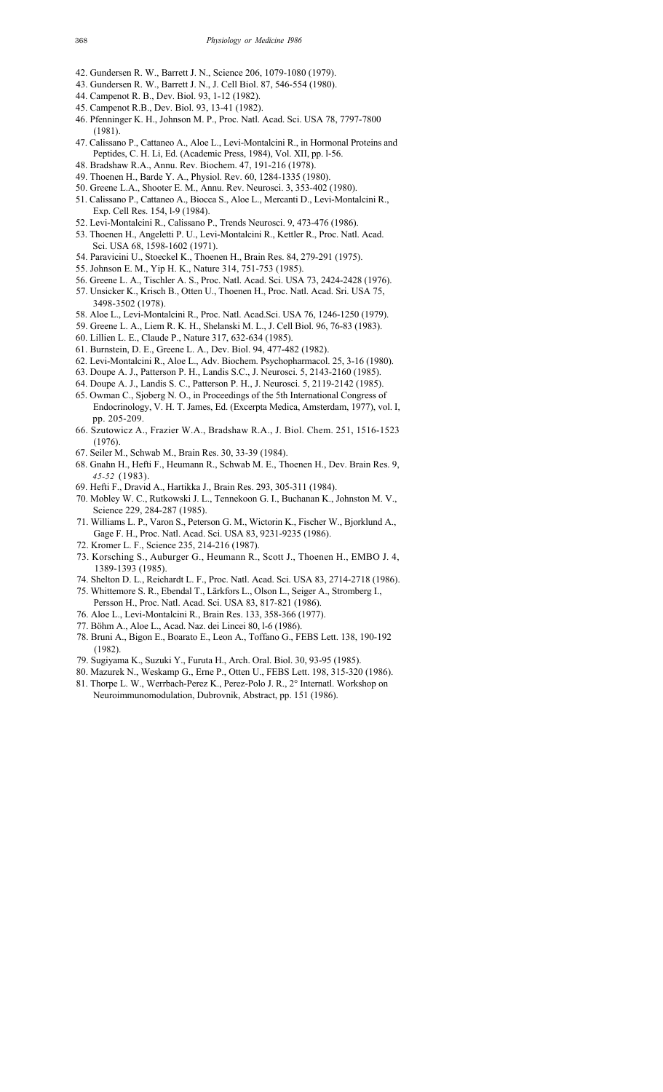- 42. Gundersen R. W., Barrett J. N., Science 206, 1079-1080 (1979).
- 43. Gundersen R. W., Barrett J. N., J. Cell Biol. 87, 546-554 (1980).
- 44. Campenot R. B., Dev. Biol. 93, 1-12 (1982).
- 45. Campenot R.B., Dev. Biol. 93, 13-41 (1982).
- 46. Pfenninger K. H., Johnson M. P., Proc. Natl. Acad. Sci. USA 78, 7797-7800 (1981).
- 47. Calissano P., Cattaneo A., Aloe L., Levi-Montalcini R., in Hormonal Proteins and Peptides, C. H. Li, Ed. (Academic Press, 1984), Vol. XII, pp. l-56.
- 48. Bradshaw R.A., Annu. Rev. Biochem. 47, 191-216 (1978).
- 49. Thoenen H., Barde Y. A., Physiol. Rev. 60, 1284-1335 (1980).
- 50. Greene L.A., Shooter E. M., Annu. Rev. Neurosci. 3, 353-402 (1980).
- 51. Calissano P., Cattaneo A., Biocca S., Aloe L., Mercanti D., Levi-Montalcini R., Exp. Cell Res. 154, l-9 (1984).
- 52. Levi-Montalcini R., Calissano P., Trends Neurosci. 9, 473-476 (1986).
- 53. Thoenen H., Angeletti P. U., Levi-Montalcini R., Kettler R., Proc. Natl. Acad. Sci. USA 68, 1598-1602 (1971).
- 54. Paravicini U., Stoeckel K., Thoenen H., Brain Res. 84, 279-291 (1975).
- 55. Johnson E. M., Yip H. K., Nature 314, 751-753 (1985).
- 56. Greene L. A., Tischler A. S., Proc. Natl. Acad. Sci. USA 73, 2424-2428 (1976).
- 57. Unsicker K., Krisch B., Otten U., Thoenen H., Proc. Natl. Acad. Sri. USA 75, 3498-3502 (1978).
- 58. Aloe L., Levi-Montalcini R., Proc. Natl. Acad.Sci. USA 76, 1246-1250 (1979).
- 59. Greene L. A., Liem R. K. H., Shelanski M. L., J. Cell Biol. 96, 76-83 (1983).
- 60. Lillien L. E., Claude P., Nature 317, 632-634 (1985).
- 61. Burnstein, D. E., Greene L. A., Dev. Biol. 94, 477-482 (1982).
- 62. Levi-Montalcini R., Aloe L., Adv. Biochem. Psychopharmacol. 25, 3-16 (1980).
- 63. Doupe A. J., Patterson P. H., Landis S.C., J. Neurosci. 5, 2143-2160 (1985).
- 64. Doupe A. J., Landis S. C., Patterson P. H., J. Neurosci. 5, 2119-2142 (1985).
- 65. Owman C., Sjoberg N. O., in Proceedings of the 5th International Congress of Endocrinology, V. H. T. James, Ed. (Excerpta Medica, Amsterdam, 1977), vol. I, pp. 205-209.
- 66. Szutowicz A., Frazier W.A., Bradshaw R.A., J. Biol. Chem. 251, 1516-1523 (1976).
- 67. Seiler M., Schwab M., Brain Res. 30, 33-39 (1984).
- 68. Gnahn H., Hefti F., Heumann R., Schwab M. E., Thoenen H., Dev. Brain Res. 9, *45-52* (1983).
- 69. Hefti F., Dravid A., Hartikka J., Brain Res. 293, 305-311 (1984).
- 70. Mobley W. C., Rutkowski J. L., Tennekoon G. I., Buchanan K., Johnston M. V., Science 229, 284-287 (1985).
- 71. Williams L. P., Varon S., Peterson G. M., Wictorin K., Fischer W., Bjorklund A., Gage F. H., Proc. Natl. Acad. Sci. USA 83, 9231-9235 (1986).
- 72. Kromer L. F., Science 235, 214-216 (1987).
- 73. Korsching S., Auburger G., Heumann R., Scott J., Thoenen H., EMBO J. 4, 1389-1393 (1985).
- 74. Shelton D. L., Reichardt L. F., Proc. Natl. Acad. Sci. USA 83, 2714-2718 (1986).
- 75. Whittemore S. R., Ebendal T., Lärkfors L., Olson L., Seiger A., Stromberg I., Persson H., Proc. Natl. Acad. Sci. USA 83, 817-821 (1986).
- 76. Aloe L., Levi-Montalcini R., Brain Res. 133, 358-366 (1977).
- 77. Böhm A., Aloe L., Acad. Naz. dei Lincei 80, l-6 (1986).
- 78. Bruni A., Bigon E., Boarato E., Leon A., Toffano G., FEBS Lett. 138, 190-192 (1982).
- 79. Sugiyama K., Suzuki Y., Furuta H., Arch. Oral. Biol. 30, 93-95 (1985).
- 80. Mazurek N., Weskamp G., Erne P., Otten U., FEBS Lett. 198, 315-320 (1986).
- 81. Thorpe L. W., Werrbach-Perez K., Perez-Polo J. R., 2° Internatl. Workshop on Neuroimmunomodulation, Dubrovnik, Abstract, pp. 151 (1986).